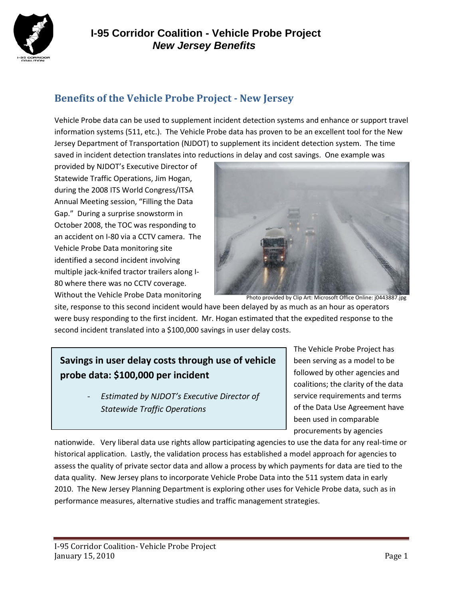

#### **Benefits of the Vehicle Probe Project - New Jersey**

Vehicle Probe data can be used to supplement incident detection systems and enhance or support travel information systems (511, etc.). The Vehicle Probe data has proven to be an excellent tool for the New Jersey Department of Transportation (NJDOT) to supplement its incident detection system. The time saved in incident detection translates into reductions in delay and cost savings. One example was

provided by NJDOT's Executive Director of Statewide Traffic Operations, Jim Hogan, during the 2008 ITS World Congress/ITSA Annual Meeting session, "Filling the Data Gap." During a surprise snowstorm in October 2008, the TOC was responding to an accident on I-80 via a CCTV camera. The Vehicle Probe Data monitoring site identified a second incident involving multiple jack-knifed tractor trailers along I-80 where there was no CCTV coverage. Without the Vehicle Probe Data monitoring



Photo provided by Clip Art: Microsoft Office Online: j0443887.jpg

site, response to this second incident would have been delayed by as much as an hour as operators were busy responding to the first incident. Mr. Hogan estimated that the expedited response to the second incident translated into a \$100,000 savings in user delay costs.

### **Savings in user delay costs through use of vehicle probe data: \$100,000 per incident**

- *Estimated by NJDOT's Executive Director of Statewide Traffic Operations* 

The Vehicle Probe Project has been serving as a model to be followed by other agencies and coalitions; the clarity of the data service requirements and terms of the Data Use Agreement have been used in comparable procurements by agencies

nationwide. Very liberal data use rights allow participating agencies to use the data for any real-time or historical application. Lastly, the validation process has established a model approach for agencies to assess the quality of private sector data and allow a process by which payments for data are tied to the data quality. New Jersey plans to incorporate Vehicle Probe Data into the 511 system data in early 2010. The New Jersey Planning Department is exploring other uses for Vehicle Probe data, such as in performance measures, alternative studies and traffic management strategies.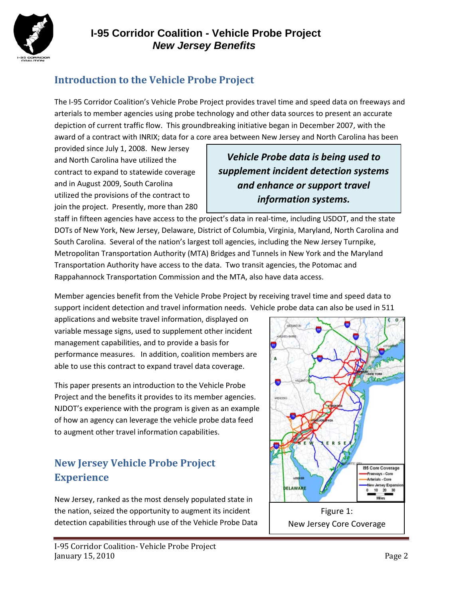

# **Introduction to the Vehicle Probe Project**

The I-95 Corridor Coalition's Vehicle Probe Project provides travel time and speed data on freeways and arterials to member agencies using probe technology and other data sources to present an accurate depiction of current traffic flow. This groundbreaking initiative began in December 2007, with the award of a contract with INRIX; data for a core area between New Jersey and North Carolina has been

provided since July 1, 2008. New Jersey and North Carolina have utilized the contract to expand to statewide coverage and in August 2009, South Carolina utilized the provisions of the contract to join the project. Presently, more than 280

*Vehicle Probe data is being used to supplement incident detection systems and enhance or support travel information systems.* 

staff in fifteen agencies have access to the project's data in real-time, including USDOT, and the state DOTs of New York, New Jersey, Delaware, District of Columbia, Virginia, Maryland, North Carolina and South Carolina. Several of the nation's largest toll agencies, including the New Jersey Turnpike, Metropolitan Transportation Authority (MTA) Bridges and Tunnels in New York and the Maryland Transportation Authority have access to the data. Two transit agencies, the Potomac and Rappahannock Transportation Commission and the MTA, also have data access.

Member agencies benefit from the Vehicle Probe Project by receiving travel time and speed data to support incident detection and travel information needs. Vehicle probe data can also be used in 511

applications and website travel information, displayed on variable message signs, used to supplement other incident management capabilities, and to provide a basis for performance measures. In addition, coalition members are able to use this contract to expand travel data coverage.

This paper presents an introduction to the Vehicle Probe Project and the benefits it provides to its member agencies. NJDOT's experience with the program is given as an example of how an agency can leverage the vehicle probe data feed to augment other travel information capabilities.

# **New Jersey Vehicle Probe Project Experience**

New Jersey, ranked as the most densely populated state in the nation, seized the opportunity to augment its incident detection capabilities through use of the Vehicle Probe Data

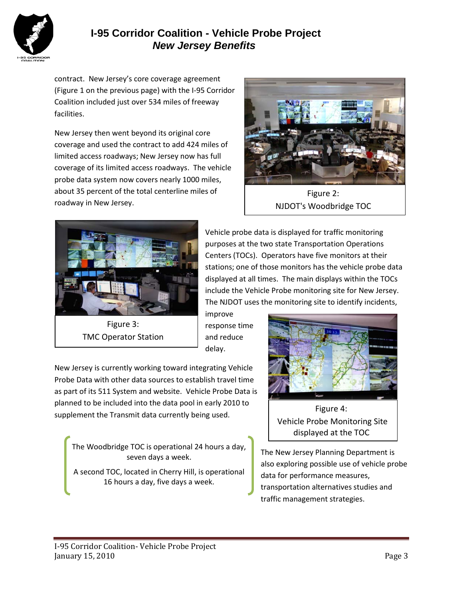

### **I-95 Corridor Coalition - Vehicle Probe Project** *New Jersey Benefits*

contract. New Jersey's core coverage agreement (Figure 1 on the previous page) with the I-95 Corridor Coalition included just over 534 miles of freeway facilities.

New Jersey then went beyond its original core coverage and used the contract to add 424 miles of limited access roadways; New Jersey now has full coverage of its limited access roadways. The vehicle probe data system now covers nearly 1000 miles, about 35 percent of the total centerline miles of roadway in New Jersey.



Figure 2: NJDOT's Woodbridge TOC



TMC Operator Station

Vehicle probe data is displayed for traffic monitoring purposes at the two state Transportation Operations Centers (TOCs). Operators have five monitors at their stations; one of those monitors has the vehicle probe data displayed at all times. The main displays within the TOCs include the Vehicle Probe monitoring site for New Jersey. The NJDOT uses the monitoring site to identify incidents,

improve response time and reduce delay.

New Jersey is currently working toward integrating Vehicle Probe Data with other data sources to establish travel time as part of its 511 System and website. Vehicle Probe Data is planned to be included into the data pool in early 2010 to supplement the Transmit data currently being used.

The Woodbridge TOC is operational 24 hours a day, seven days a week.

A second TOC, located in Cherry Hill, is operational 16 hours a day, five days a week.



Figure 4: Vehicle Probe Monitoring Site displayed at the TOC

The New Jersey Planning Department is also exploring possible use of vehicle probe data for performance measures, transportation alternatives studies and traffic management strategies.